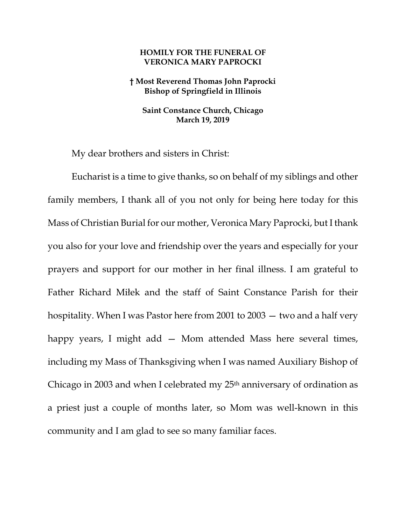## **HOMILY FOR THE FUNERAL OF VERONICA MARY PAPROCKI**

## **† Most Reverend Thomas John Paprocki Bishop of Springfield in Illinois**

**Saint Constance Church, Chicago March 19, 2019**

My dear brothers and sisters in Christ:

Eucharist is a time to give thanks, so on behalf of my siblings and other family members, I thank all of you not only for being here today for this Mass of Christian Burial for our mother, Veronica Mary Paprocki, but I thank you also for your love and friendship over the years and especially for your prayers and support for our mother in her final illness. I am grateful to Father Richard Miłek and the staff of Saint Constance Parish for their hospitality. When I was Pastor here from 2001 to 2003 — two and a half very happy years, I might add – Mom attended Mass here several times, including my Mass of Thanksgiving when I was named Auxiliary Bishop of Chicago in 2003 and when I celebrated my 25<sup>th</sup> anniversary of ordination as a priest just a couple of months later, so Mom was well-known in this community and I am glad to see so many familiar faces.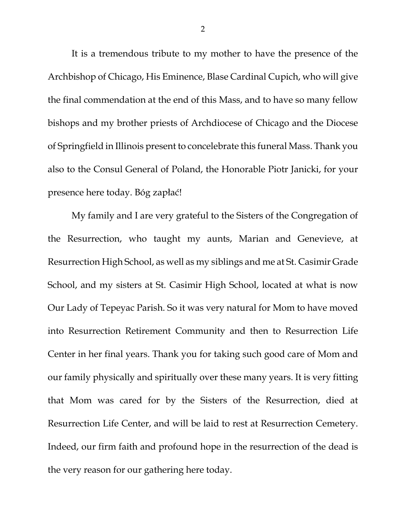It is a tremendous tribute to my mother to have the presence of the Archbishop of Chicago, His Eminence, Blase Cardinal Cupich, who will give the final commendation at the end of this Mass, and to have so many fellow bishops and my brother priests of Archdiocese of Chicago and the Diocese of Springfield in Illinois present to concelebrate this funeral Mass. Thank you also to the Consul General of Poland, the Honorable Piotr Janicki, for your presence here today. Bóg zapłać!

My family and I are very grateful to the Sisters of the Congregation of the Resurrection, who taught my aunts, Marian and Genevieve, at Resurrection High School, as well as my siblings and me at St. Casimir Grade School, and my sisters at St. Casimir High School, located at what is now Our Lady of Tepeyac Parish. So it was very natural for Mom to have moved into Resurrection Retirement Community and then to Resurrection Life Center in her final years. Thank you for taking such good care of Mom and our family physically and spiritually over these many years. It is very fitting that Mom was cared for by the Sisters of the Resurrection, died at Resurrection Life Center, and will be laid to rest at Resurrection Cemetery. Indeed, our firm faith and profound hope in the resurrection of the dead is the very reason for our gathering here today.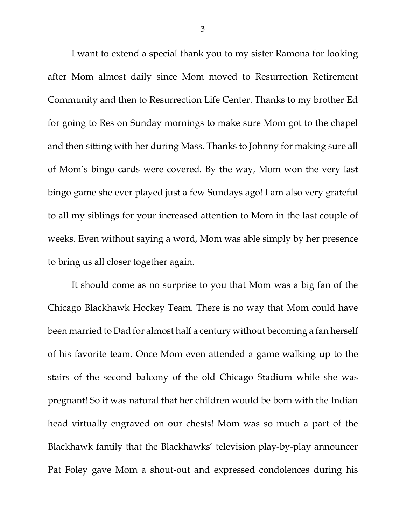I want to extend a special thank you to my sister Ramona for looking after Mom almost daily since Mom moved to Resurrection Retirement Community and then to Resurrection Life Center. Thanks to my brother Ed for going to Res on Sunday mornings to make sure Mom got to the chapel and then sitting with her during Mass. Thanks to Johnny for making sure all of Mom's bingo cards were covered. By the way, Mom won the very last bingo game she ever played just a few Sundays ago! I am also very grateful to all my siblings for your increased attention to Mom in the last couple of weeks. Even without saying a word, Mom was able simply by her presence to bring us all closer together again.

It should come as no surprise to you that Mom was a big fan of the Chicago Blackhawk Hockey Team. There is no way that Mom could have been married to Dad for almost half a century without becoming a fan herself of his favorite team. Once Mom even attended a game walking up to the stairs of the second balcony of the old Chicago Stadium while she was pregnant! So it was natural that her children would be born with the Indian head virtually engraved on our chests! Mom was so much a part of the Blackhawk family that the Blackhawks' television play-by-play announcer Pat Foley gave Mom a shout-out and expressed condolences during his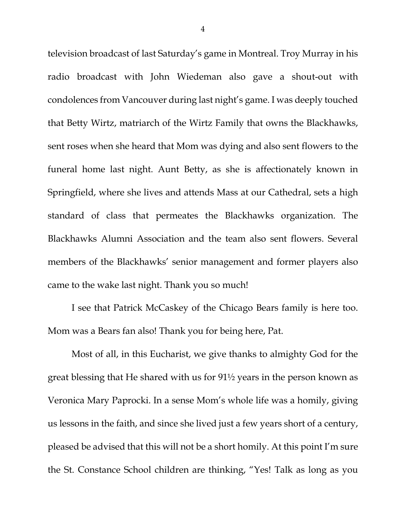television broadcast of last Saturday's game in Montreal. Troy Murray in his radio broadcast with John Wiedeman also gave a shout-out with condolences from Vancouver during last night's game. I was deeply touched that Betty Wirtz, matriarch of the Wirtz Family that owns the Blackhawks, sent roses when she heard that Mom was dying and also sent flowers to the funeral home last night. Aunt Betty, as she is affectionately known in Springfield, where she lives and attends Mass at our Cathedral, sets a high standard of class that permeates the Blackhawks organization. The Blackhawks Alumni Association and the team also sent flowers. Several members of the Blackhawks' senior management and former players also came to the wake last night. Thank you so much!

I see that Patrick McCaskey of the Chicago Bears family is here too. Mom was a Bears fan also! Thank you for being here, Pat.

Most of all, in this Eucharist, we give thanks to almighty God for the great blessing that He shared with us for 91½ years in the person known as Veronica Mary Paprocki. In a sense Mom's whole life was a homily, giving us lessons in the faith, and since she lived just a few years short of a century, pleased be advised that this will not be a short homily. At this point I'm sure the St. Constance School children are thinking, "Yes! Talk as long as you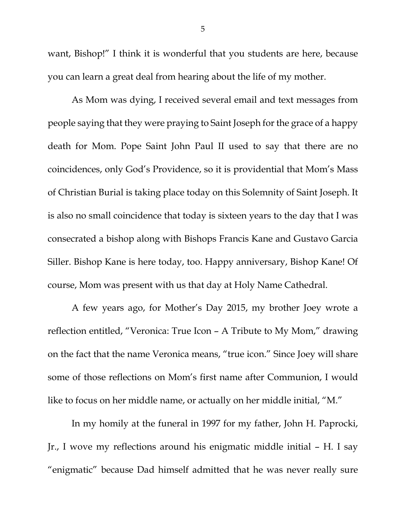want, Bishop!" I think it is wonderful that you students are here, because you can learn a great deal from hearing about the life of my mother.

As Mom was dying, I received several email and text messages from people saying that they were praying to Saint Joseph for the grace of a happy death for Mom. Pope Saint John Paul II used to say that there are no coincidences, only God's Providence, so it is providential that Mom's Mass of Christian Burial is taking place today on this Solemnity of Saint Joseph. It is also no small coincidence that today is sixteen years to the day that I was consecrated a bishop along with Bishops Francis Kane and Gustavo Garcia Siller. Bishop Kane is here today, too. Happy anniversary, Bishop Kane! Of course, Mom was present with us that day at Holy Name Cathedral.

A few years ago, for Mother's Day 2015, my brother Joey wrote a reflection entitled, "Veronica: True Icon – A Tribute to My Mom," drawing on the fact that the name Veronica means, "true icon." Since Joey will share some of those reflections on Mom's first name after Communion, I would like to focus on her middle name, or actually on her middle initial, "M."

In my homily at the funeral in 1997 for my father, John H. Paprocki, Jr., I wove my reflections around his enigmatic middle initial – H. I say "enigmatic" because Dad himself admitted that he was never really sure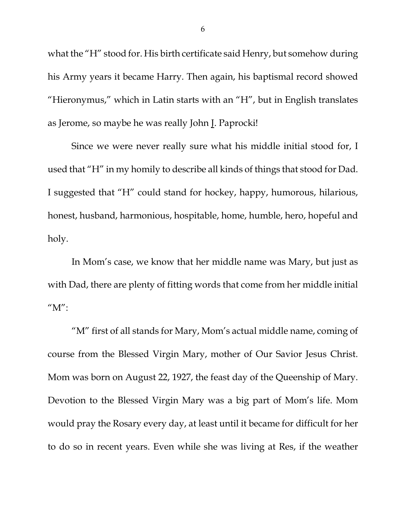what the "H" stood for. His birth certificate said Henry, but somehow during his Army years it became Harry. Then again, his baptismal record showed "Hieronymus," which in Latin starts with an "H", but in English translates as Jerome, so maybe he was really John J. Paprocki!

Since we were never really sure what his middle initial stood for, I used that "H" in my homily to describe all kinds of things that stood for Dad. I suggested that "H" could stand for hockey, happy, humorous, hilarious, honest, husband, harmonious, hospitable, home, humble, hero, hopeful and holy.

In Mom's case, we know that her middle name was Mary, but just as with Dad, there are plenty of fitting words that come from her middle initial " $M$ ":

"M" first of all stands for Mary, Mom's actual middle name, coming of course from the Blessed Virgin Mary, mother of Our Savior Jesus Christ. Mom was born on August 22, 1927, the feast day of the Queenship of Mary. Devotion to the Blessed Virgin Mary was a big part of Mom's life. Mom would pray the Rosary every day, at least until it became for difficult for her to do so in recent years. Even while she was living at Res, if the weather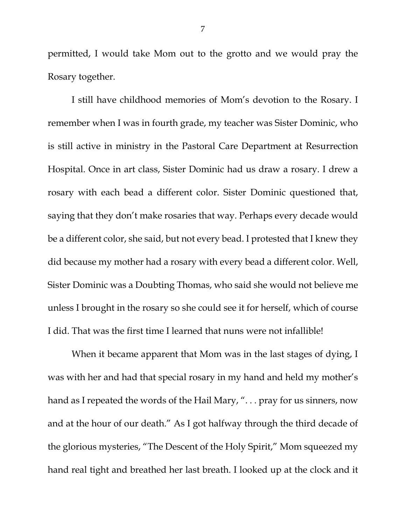permitted, I would take Mom out to the grotto and we would pray the Rosary together.

I still have childhood memories of Mom's devotion to the Rosary. I remember when I was in fourth grade, my teacher was Sister Dominic, who is still active in ministry in the Pastoral Care Department at Resurrection Hospital. Once in art class, Sister Dominic had us draw a rosary. I drew a rosary with each bead a different color. Sister Dominic questioned that, saying that they don't make rosaries that way. Perhaps every decade would be a different color, she said, but not every bead. I protested that I knew they did because my mother had a rosary with every bead a different color. Well, Sister Dominic was a Doubting Thomas, who said she would not believe me unless I brought in the rosary so she could see it for herself, which of course I did. That was the first time I learned that nuns were not infallible!

When it became apparent that Mom was in the last stages of dying, I was with her and had that special rosary in my hand and held my mother's hand as I repeated the words of the Hail Mary, "... pray for us sinners, now and at the hour of our death." As I got halfway through the third decade of the glorious mysteries, "The Descent of the Holy Spirit," Mom squeezed my hand real tight and breathed her last breath. I looked up at the clock and it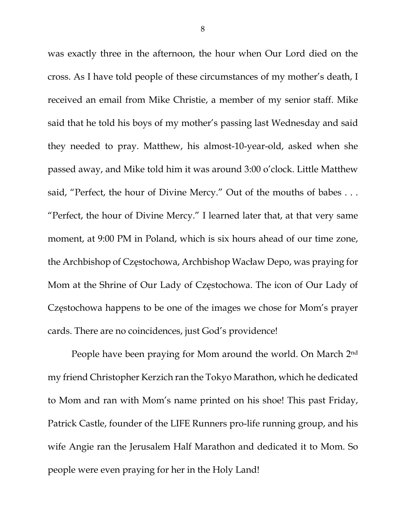was exactly three in the afternoon, the hour when Our Lord died on the cross. As I have told people of these circumstances of my mother's death, I received an email from Mike Christie, a member of my senior staff. Mike said that he told his boys of my mother's passing last Wednesday and said they needed to pray. Matthew, his almost-10-year-old, asked when she passed away, and Mike told him it was around 3:00 o'clock. Little Matthew said, "Perfect, the hour of Divine Mercy." Out of the mouths of babes . . . "Perfect, the hour of Divine Mercy." I learned later that, at that very same moment, at 9:00 PM in Poland, which is six hours ahead of our time zone, the Archbishop of Częstochowa, Archbishop Wacław Depo, was praying for Mom at the Shrine of Our Lady of Częstochowa. The icon of Our Lady of Częstochowa happens to be one of the images we chose for Mom's prayer cards. There are no coincidences, just God's providence!

People have been praying for Mom around the world. On March 2nd my friend Christopher Kerzich ran the Tokyo Marathon, which he dedicated to Mom and ran with Mom's name printed on his shoe! This past Friday, Patrick Castle, founder of the LIFE Runners pro-life running group, and his wife Angie ran the Jerusalem Half Marathon and dedicated it to Mom. So people were even praying for her in the Holy Land!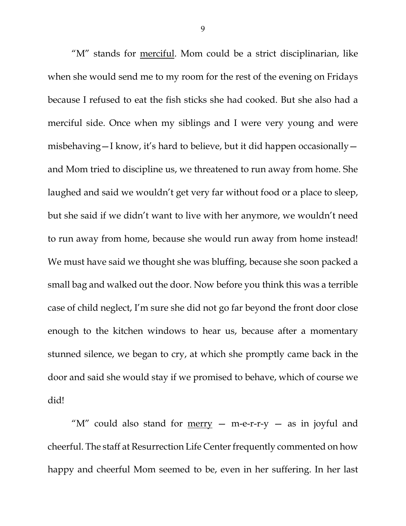"M" stands for merciful. Mom could be a strict disciplinarian, like when she would send me to my room for the rest of the evening on Fridays because I refused to eat the fish sticks she had cooked. But she also had a merciful side. Once when my siblings and I were very young and were misbehaving—I know, it's hard to believe, but it did happen occasionally and Mom tried to discipline us, we threatened to run away from home. She laughed and said we wouldn't get very far without food or a place to sleep, but she said if we didn't want to live with her anymore, we wouldn't need to run away from home, because she would run away from home instead! We must have said we thought she was bluffing, because she soon packed a small bag and walked out the door. Now before you think this was a terrible case of child neglect, I'm sure she did not go far beyond the front door close enough to the kitchen windows to hear us, because after a momentary stunned silence, we began to cry, at which she promptly came back in the door and said she would stay if we promised to behave, which of course we did!

" $M''$  could also stand for merry  $-$  m-e-r-r-y  $-$  as in joyful and cheerful. The staff at Resurrection Life Center frequently commented on how happy and cheerful Mom seemed to be, even in her suffering. In her last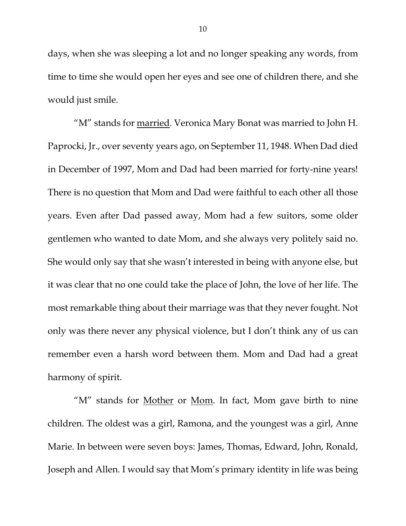days, when she was sleeping a lot and no longer speaking any words, from time to time she would open her eyes and see one of children there, and she would just smile.

"M" stands for **married**. Veronica Mary Bonat was married to John H. Paprocki, Jr., over seventy years ago, on September 11, 1948. When Dad died in December of 1997, Mom and Dad had been married for forty-nine years! There is no question that Mom and Dad were faithful to each other all those years. Even after Dad passed away, Mom had a few suitors, some older gentlemen who wanted to date Mom, and she always very politely said no. She would only say that she wasn't interested in being with anyone else, but it was clear that no one could take the place of John, the love of her life. The most remarkable thing about their marriage was that they never fought. Not only was there never any physical violence, but I don't think any of us can remember even a harsh word between them. Mom and Dad had a great harmony of spirit.

"M" stands for Mother or Mom. In fact, Mom gave birth to nine children. The oldest was a girl, Ramona, and the youngest was a girl, Anne Marie. In between were seven boys: James, Thomas, Edward, John, Ronald, Joseph and Allen. I would say that Mom's primary identity in life was being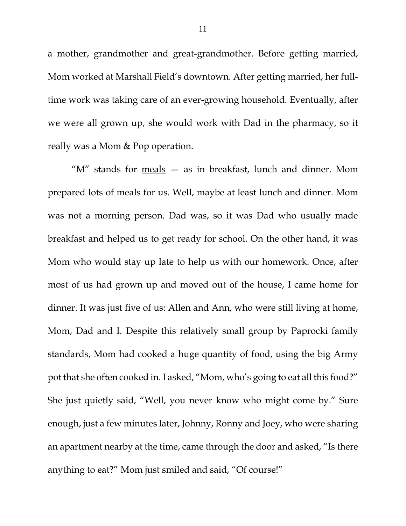a mother, grandmother and great-grandmother. Before getting married, Mom worked at Marshall Field's downtown. After getting married, her fulltime work was taking care of an ever-growing household. Eventually, after we were all grown up, she would work with Dad in the pharmacy, so it really was a Mom & Pop operation.

" $M''$  stands for  $meals - as in breakfast, lunch and dinner. Mom$ </u> prepared lots of meals for us. Well, maybe at least lunch and dinner. Mom was not a morning person. Dad was, so it was Dad who usually made breakfast and helped us to get ready for school. On the other hand, it was Mom who would stay up late to help us with our homework. Once, after most of us had grown up and moved out of the house, I came home for dinner. It was just five of us: Allen and Ann, who were still living at home, Mom, Dad and I. Despite this relatively small group by Paprocki family standards, Mom had cooked a huge quantity of food, using the big Army pot that she often cooked in. I asked, "Mom, who's going to eat all this food?" She just quietly said, "Well, you never know who might come by." Sure enough, just a few minutes later, Johnny, Ronny and Joey, who were sharing an apartment nearby at the time, came through the door and asked, "Is there anything to eat?" Mom just smiled and said, "Of course!"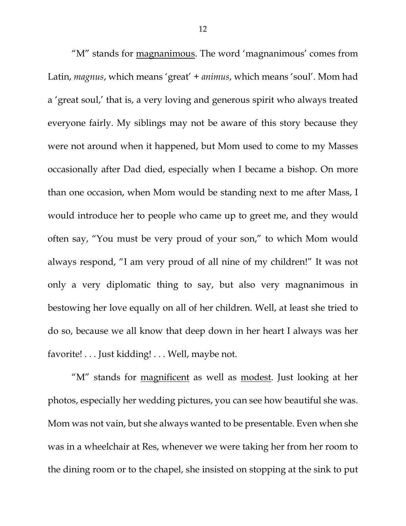"M" stands for magnanimous. The word 'magnanimous' comes from Latin, *magnus*, which means 'great' + *animus*, which means 'soul'. Mom had a 'great soul,' that is, a very loving and generous spirit who always treated everyone fairly. My siblings may not be aware of this story because they were not around when it happened, but Mom used to come to my Masses occasionally after Dad died, especially when I became a bishop. On more than one occasion, when Mom would be standing next to me after Mass, I would introduce her to people who came up to greet me, and they would often say, "You must be very proud of your son," to which Mom would always respond, "I am very proud of all nine of my children!" It was not only a very diplomatic thing to say, but also very magnanimous in bestowing her love equally on all of her children. Well, at least she tried to do so, because we all know that deep down in her heart I always was her favorite! . . . Just kidding! . . . Well, maybe not.

"M" stands for magnificent as well as modest. Just looking at her photos, especially her wedding pictures, you can see how beautiful she was. Mom was not vain, but she always wanted to be presentable. Even when she was in a wheelchair at Res, whenever we were taking her from her room to the dining room or to the chapel, she insisted on stopping at the sink to put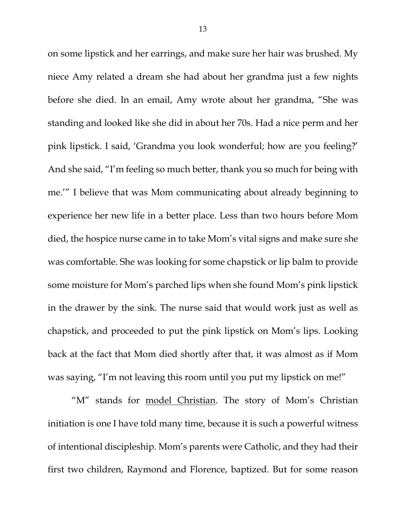on some lipstick and her earrings, and make sure her hair was brushed. My niece Amy related a dream she had about her grandma just a few nights before she died. In an email, Amy wrote about her grandma, "She was standing and looked like she did in about her 70s. Had a nice perm and her pink lipstick. I said, 'Grandma you look wonderful; how are you feeling?' And she said, "I'm feeling so much better, thank you so much for being with me.'" I believe that was Mom communicating about already beginning to experience her new life in a better place. Less than two hours before Mom died, the hospice nurse came in to take Mom's vital signs and make sure she was comfortable. She was looking for some chapstick or lip balm to provide some moisture for Mom's parched lips when she found Mom's pink lipstick in the drawer by the sink. The nurse said that would work just as well as chapstick, and proceeded to put the pink lipstick on Mom's lips. Looking back at the fact that Mom died shortly after that, it was almost as if Mom was saying, "I'm not leaving this room until you put my lipstick on me!"

"M" stands for model Christian. The story of Mom's Christian initiation is one I have told many time, because it is such a powerful witness of intentional discipleship. Mom's parents were Catholic, and they had their first two children, Raymond and Florence, baptized. But for some reason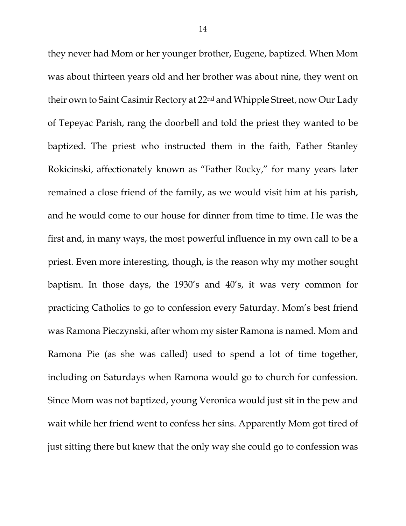they never had Mom or her younger brother, Eugene, baptized. When Mom was about thirteen years old and her brother was about nine, they went on their own to Saint Casimir Rectory at 22nd and Whipple Street, now Our Lady of Tepeyac Parish, rang the doorbell and told the priest they wanted to be baptized. The priest who instructed them in the faith, Father Stanley Rokicinski, affectionately known as "Father Rocky," for many years later remained a close friend of the family, as we would visit him at his parish, and he would come to our house for dinner from time to time. He was the first and, in many ways, the most powerful influence in my own call to be a priest. Even more interesting, though, is the reason why my mother sought baptism. In those days, the 1930's and 40's, it was very common for practicing Catholics to go to confession every Saturday. Mom's best friend was Ramona Pieczynski, after whom my sister Ramona is named. Mom and Ramona Pie (as she was called) used to spend a lot of time together, including on Saturdays when Ramona would go to church for confession. Since Mom was not baptized, young Veronica would just sit in the pew and wait while her friend went to confess her sins. Apparently Mom got tired of just sitting there but knew that the only way she could go to confession was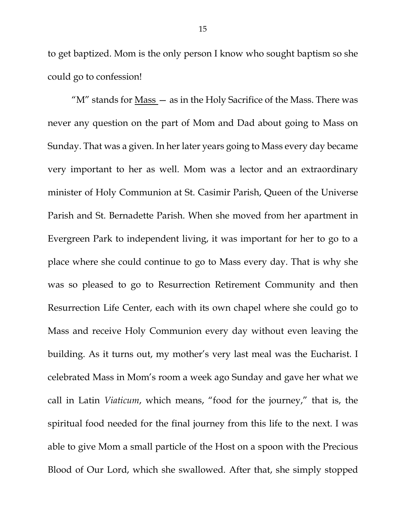to get baptized. Mom is the only person I know who sought baptism so she could go to confession!

"M" stands for **Mass** - as in the Holy Sacrifice of the Mass. There was never any question on the part of Mom and Dad about going to Mass on Sunday. That was a given. In her later years going to Mass every day became very important to her as well. Mom was a lector and an extraordinary minister of Holy Communion at St. Casimir Parish, Queen of the Universe Parish and St. Bernadette Parish. When she moved from her apartment in Evergreen Park to independent living, it was important for her to go to a place where she could continue to go to Mass every day. That is why she was so pleased to go to Resurrection Retirement Community and then Resurrection Life Center, each with its own chapel where she could go to Mass and receive Holy Communion every day without even leaving the building. As it turns out, my mother's very last meal was the Eucharist. I celebrated Mass in Mom's room a week ago Sunday and gave her what we call in Latin *Viaticum*, which means, "food for the journey," that is, the spiritual food needed for the final journey from this life to the next. I was able to give Mom a small particle of the Host on a spoon with the Precious Blood of Our Lord, which she swallowed. After that, she simply stopped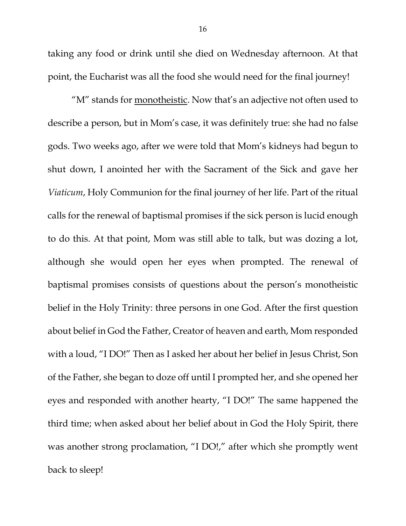taking any food or drink until she died on Wednesday afternoon. At that point, the Eucharist was all the food she would need for the final journey!

"M" stands for **monotheistic**. Now that's an adjective not often used to describe a person, but in Mom's case, it was definitely true: she had no false gods. Two weeks ago, after we were told that Mom's kidneys had begun to shut down, I anointed her with the Sacrament of the Sick and gave her *Viaticum*, Holy Communion for the final journey of her life. Part of the ritual calls for the renewal of baptismal promises if the sick person is lucid enough to do this. At that point, Mom was still able to talk, but was dozing a lot, although she would open her eyes when prompted. The renewal of baptismal promises consists of questions about the person's monotheistic belief in the Holy Trinity: three persons in one God. After the first question about belief in God the Father, Creator of heaven and earth, Mom responded with a loud, "I DO!" Then as I asked her about her belief in Jesus Christ, Son of the Father, she began to doze off until I prompted her, and she opened her eyes and responded with another hearty, "I DO!" The same happened the third time; when asked about her belief about in God the Holy Spirit, there was another strong proclamation, "I DO!," after which she promptly went back to sleep!